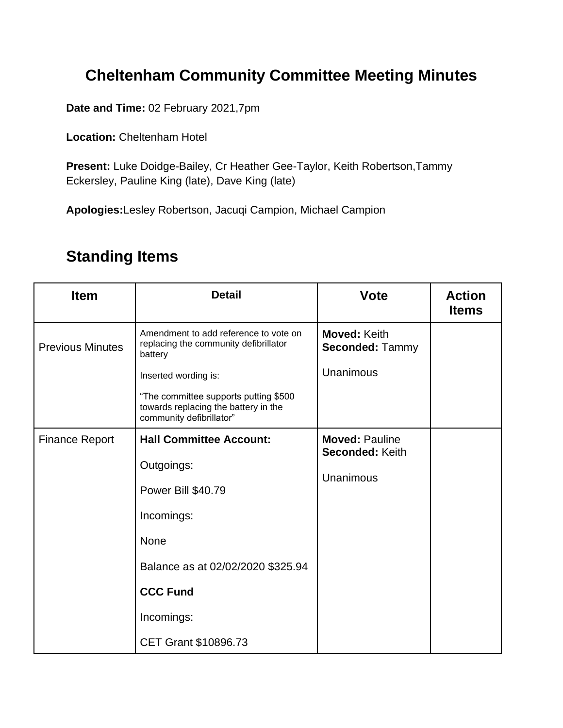## **Cheltenham Community Committee Meeting Minutes**

**Date and Time:** 02 February 2021,7pm

**Location:** Cheltenham Hotel

**Present:** Luke Doidge-Bailey, Cr Heather Gee-Taylor, Keith Robertson,Tammy Eckersley, Pauline King (late), Dave King (late)

**Apologies:**Lesley Robertson, Jacuqi Campion, Michael Campion

## **Standing Items**

| <b>Item</b>             | <b>Detail</b>                                                                                             | <b>Vote</b>                                   | <b>Action</b><br><b>Items</b> |
|-------------------------|-----------------------------------------------------------------------------------------------------------|-----------------------------------------------|-------------------------------|
| <b>Previous Minutes</b> | Amendment to add reference to vote on<br>replacing the community defibrillator<br>battery                 | <b>Moved: Keith</b><br><b>Seconded: Tammy</b> |                               |
|                         | Inserted wording is:                                                                                      | Unanimous                                     |                               |
|                         | "The committee supports putting \$500<br>towards replacing the battery in the<br>community defibrillator" |                                               |                               |
| <b>Finance Report</b>   | <b>Hall Committee Account:</b>                                                                            | <b>Moved: Pauline</b><br>Seconded: Keith      |                               |
|                         | Outgoings:                                                                                                | Unanimous                                     |                               |
|                         | Power Bill \$40.79                                                                                        |                                               |                               |
|                         | Incomings:                                                                                                |                                               |                               |
|                         | <b>None</b>                                                                                               |                                               |                               |
|                         | Balance as at 02/02/2020 \$325.94                                                                         |                                               |                               |
|                         | <b>CCC Fund</b>                                                                                           |                                               |                               |
|                         | Incomings:                                                                                                |                                               |                               |
|                         | CET Grant \$10896.73                                                                                      |                                               |                               |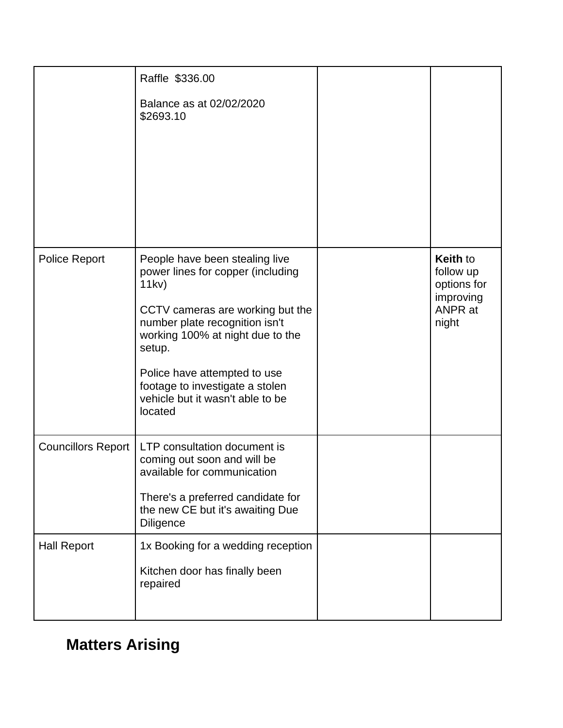|                           | Raffle \$336.00                                                                                                                                                                                                                                                                                                    |                                                                              |
|---------------------------|--------------------------------------------------------------------------------------------------------------------------------------------------------------------------------------------------------------------------------------------------------------------------------------------------------------------|------------------------------------------------------------------------------|
|                           | Balance as at 02/02/2020<br>\$2693.10                                                                                                                                                                                                                                                                              |                                                                              |
| <b>Police Report</b>      | People have been stealing live<br>power lines for copper (including<br>11kv)<br>CCTV cameras are working but the<br>number plate recognition isn't<br>working 100% at night due to the<br>setup.<br>Police have attempted to use<br>footage to investigate a stolen<br>vehicle but it wasn't able to be<br>located | <b>Keith to</b><br>follow up<br>options for<br>improving<br>ANPR at<br>night |
| <b>Councillors Report</b> | LTP consultation document is<br>coming out soon and will be<br>available for communication<br>There's a preferred candidate for<br>the new CE but it's awaiting Due<br><b>Diligence</b>                                                                                                                            |                                                                              |
| <b>Hall Report</b>        | 1x Booking for a wedding reception<br>Kitchen door has finally been<br>repaired                                                                                                                                                                                                                                    |                                                                              |

## **Matters Arising**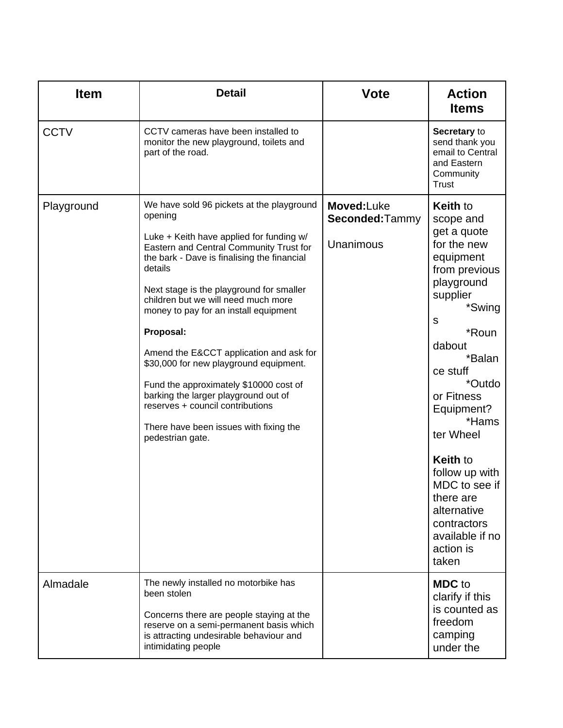| <b>Item</b> | <b>Detail</b>                                                                                                                                                                                                                                                                                                                                                                                                                                                                                                                                                                                                           | <b>Vote</b>                               | <b>Action</b><br><b>Items</b>                                                                                                                                                                                                                                                                                                                                                    |
|-------------|-------------------------------------------------------------------------------------------------------------------------------------------------------------------------------------------------------------------------------------------------------------------------------------------------------------------------------------------------------------------------------------------------------------------------------------------------------------------------------------------------------------------------------------------------------------------------------------------------------------------------|-------------------------------------------|----------------------------------------------------------------------------------------------------------------------------------------------------------------------------------------------------------------------------------------------------------------------------------------------------------------------------------------------------------------------------------|
| <b>CCTV</b> | CCTV cameras have been installed to<br>monitor the new playground, toilets and<br>part of the road.                                                                                                                                                                                                                                                                                                                                                                                                                                                                                                                     |                                           | Secretary to<br>send thank you<br>email to Central<br>and Eastern<br>Community<br>Trust                                                                                                                                                                                                                                                                                          |
| Playground  | We have sold 96 pickets at the playground<br>opening<br>Luke + Keith have applied for funding w/<br>Eastern and Central Community Trust for<br>the bark - Dave is finalising the financial<br>details<br>Next stage is the playground for smaller<br>children but we will need much more<br>money to pay for an install equipment<br>Proposal:<br>Amend the E&CCT application and ask for<br>\$30,000 for new playground equipment.<br>Fund the approximately \$10000 cost of<br>barking the larger playground out of<br>reserves + council contributions<br>There have been issues with fixing the<br>pedestrian gate. | Moved:Luke<br>Seconded:Tammy<br>Unanimous | <b>Keith to</b><br>scope and<br>get a quote<br>for the new<br>equipment<br>from previous<br>playground<br>supplier<br>*Swing<br>S<br>*Roun<br>dabout<br>*Balan<br>ce stuff<br>*Outdo<br>or Fitness<br>Equipment?<br>*Hams<br>ter Wheel<br><b>Keith to</b><br>follow up with<br>MDC to see if<br>there are<br>alternative<br>contractors<br>available if no<br>action is<br>taken |
| Almadale    | The newly installed no motorbike has<br>been stolen<br>Concerns there are people staying at the<br>reserve on a semi-permanent basis which<br>is attracting undesirable behaviour and<br>intimidating people                                                                                                                                                                                                                                                                                                                                                                                                            |                                           | <b>MDC</b> to<br>clarify if this<br>is counted as<br>freedom<br>camping<br>under the                                                                                                                                                                                                                                                                                             |